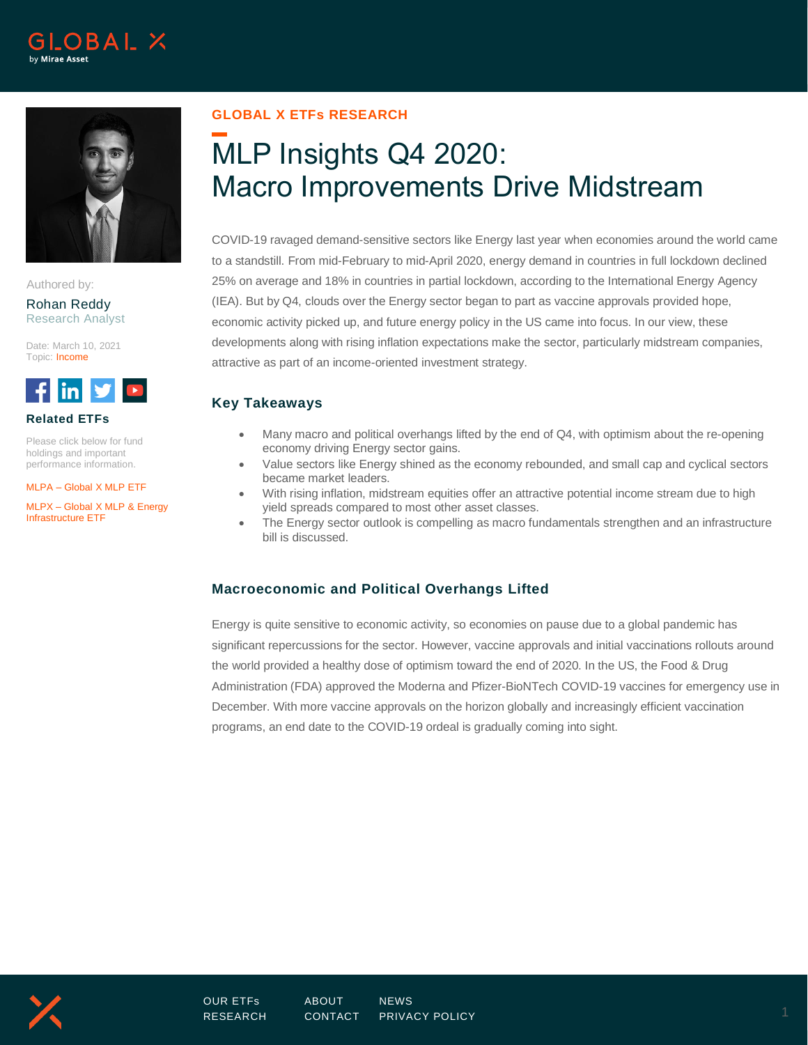



Authored by:

Rohan Reddy Research Analyst

Date: March 10, 2021 Topic: Income



**Related ETFs**

Please click below for fund holdings and important performance information.

MLPA – [Global X MLP ETF](https://www.globalxetfs.com/funds/mlpa/)

MLPX – [Global X MLP & Energy](https://www.globalxetfs.com/funds/mlpx/)  [Infrastructure ETF](https://www.globalxetfs.com/funds/mlpx/)

## **GLOBAL X ETFs RESEARCH**

# MLP Insights Q4 2020: Macro Improvements Drive Midstream

COVID-19 ravaged demand-sensitive sectors like Energy last year when economies around the world came to a standstill. From mid-February to mid-April 2020, energy demand in countries in full lockdown declined 25% on average and 18% in countries in partial lockdown, according to the International Energy Agency (IEA). But by Q4, clouds over the Energy sector began to part as vaccine approvals provided hope, economic activity picked up, and future energy policy in the US came into focus. In our view, these developments along with rising inflation expectations make the sector, particularly midstream companies, attractive as part of an income-oriented investment strategy.

# **Key Takeaways**

- Many macro and political overhangs lifted by the end of Q4, with optimism about the re-opening economy driving Energy sector gains.
- Value sectors like Energy shined as the economy rebounded, and small cap and cyclical sectors became market leaders.
- With rising inflation, midstream equities offer an attractive potential income stream due to high yield spreads compared to most other asset classes.
- The Energy sector outlook is compelling as macro fundamentals strengthen and an infrastructure bill is discussed.

# **Macroeconomic and Political Overhangs Lifted**

Energy is quite sensitive to economic activity, so economies on pause due to a global pandemic has significant repercussions for the sector. However, vaccine approvals and initial vaccinations rollouts around the world provided a healthy dose of optimism toward the end of 2020. In the US, the Food & Drug Administration (FDA) approved the Moderna and Pfizer-BioNTech COVID-19 vaccines for emergency use in December. With more vaccine approvals on the horizon globally and increasingly efficient vaccination programs, an end date to the COVID-19 ordeal is gradually coming into sight.

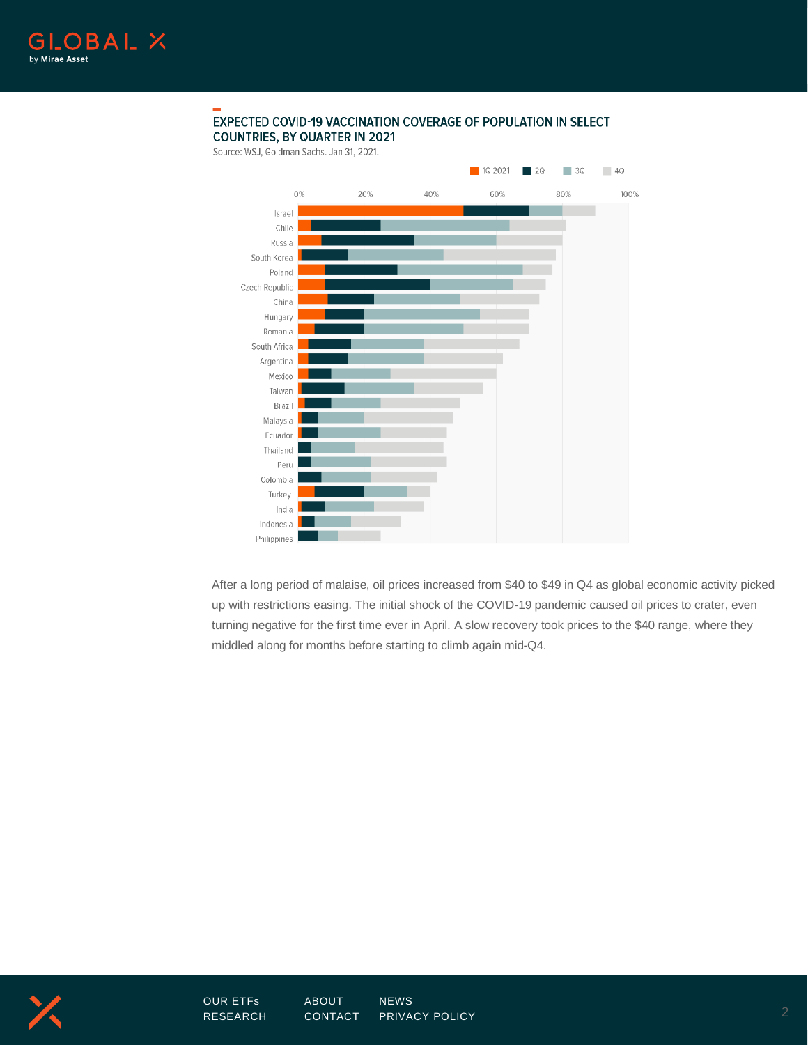

#### EXPECTED COVID-19 VACCINATION COVERAGE OF POPULATION IN SELECT **COUNTRIES, BY QUARTER IN 2021**

Source: WSJ, Goldman Sachs. Jan 31, 2021.



After a long period of malaise, oil prices increased from \$40 to \$49 in Q4 as global economic activity picked up with restrictions easing. The initial shock of the COVID-19 pandemic caused oil prices to crater, even turning negative for the first time ever in April. A slow recovery took prices to the \$40 range, where they middled along for months before starting to climb again mid-Q4.

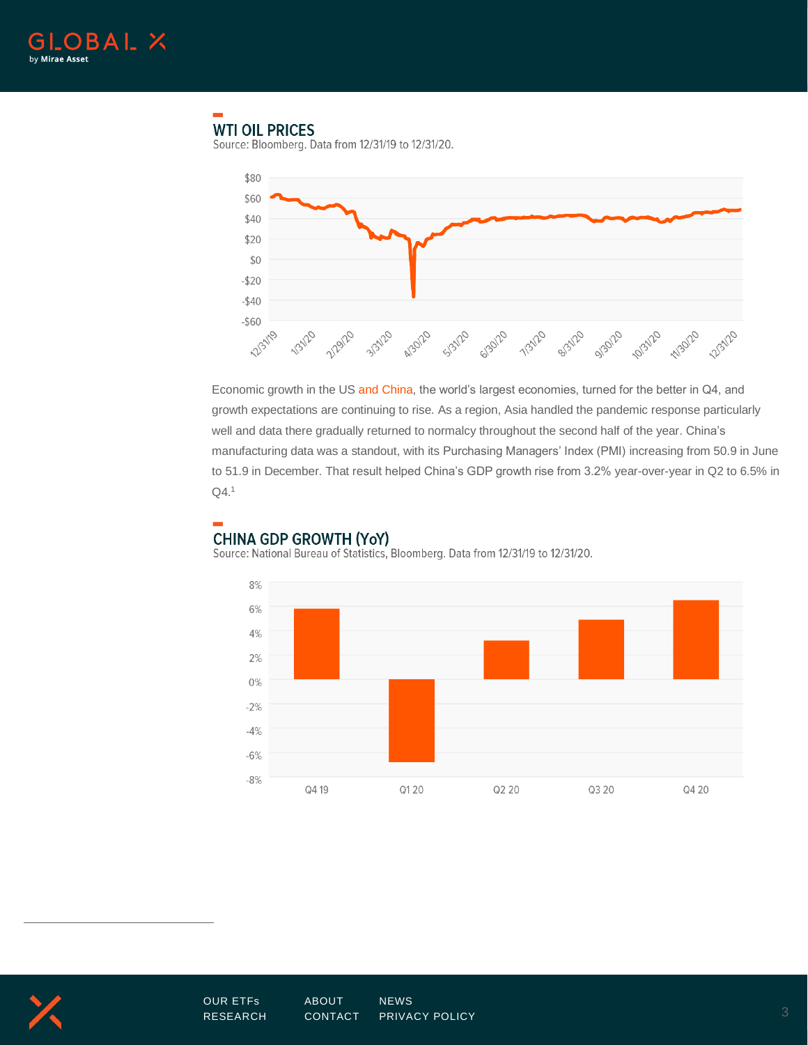

# **WTI OIL PRICES**

Source: Bloomberg. Data from 12/31/19 to 12/31/20.



Economic growth in the U[S and China,](https://www.globalxetfs.com/china-sector-report-q4-2020/) the world's largest economies, turned for the better in Q4, and growth expectations are continuing to rise. As a region, Asia handled the pandemic response particularly well and data there gradually returned to normalcy throughout the second half of the year. China's manufacturing data was a standout, with its Purchasing Managers' Index (PMI) increasing from 50.9 in June to 51.9 in December. That result helped China's GDP growth rise from 3.2% year-over-year in Q2 to 6.5% in Q4.1



## **CHINA GDP GROWTH (YoY)**

Source: National Bureau of Statistics, Bloomberg. Data from 12/31/19 to 12/31/20.

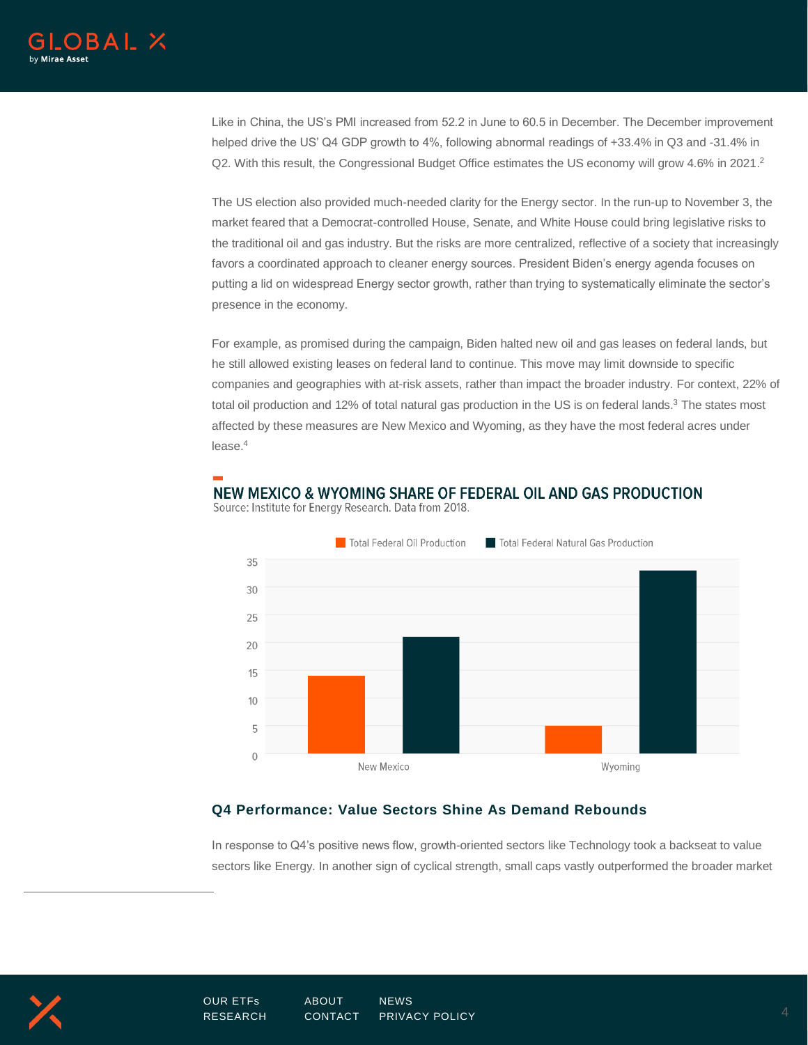

Like in China, the US's PMI increased from 52.2 in June to 60.5 in December. The December improvement helped drive the US' Q4 GDP growth to 4%, following abnormal readings of +33.4% in Q3 and -31.4% in Q2. With this result, the Congressional Budget Office estimates the US economy will grow 4.6% in 2021.<sup>2</sup>

The US election also provided much-needed clarity for the Energy sector. In the run-up to November 3, the market feared that a Democrat-controlled House, Senate, and White House could bring legislative risks to the traditional oil and gas industry. But the risks are more centralized, reflective of a society that increasingly favors a coordinated approach to cleaner energy sources. President Biden's energy agenda focuses on putting a lid on widespread Energy sector growth, rather than trying to systematically eliminate the sector's presence in the economy.

For example, as promised during the campaign, Biden halted new oil and gas leases on federal lands, but he still allowed existing leases on federal land to continue. This move may limit downside to specific companies and geographies with at-risk assets, rather than impact the broader industry. For context, 22% of total oil production and 12% of total natural gas production in the US is on federal lands.<sup>3</sup> The states most affected by these measures are New Mexico and Wyoming, as they have the most federal acres under lease. 4

## NEW MEXICO & WYOMING SHARE OF FEDERAL OIL AND GAS PRODUCTION



Source: Institute for Energy Research. Data from 2018.

#### **Q4 Performance: Value Sectors Shine As Demand Rebounds**

In response to Q4's positive news flow, growth-oriented sectors like Technology took a backseat to value sectors like Energy. In another sign of cyclical strength, small caps vastly outperformed the broader market

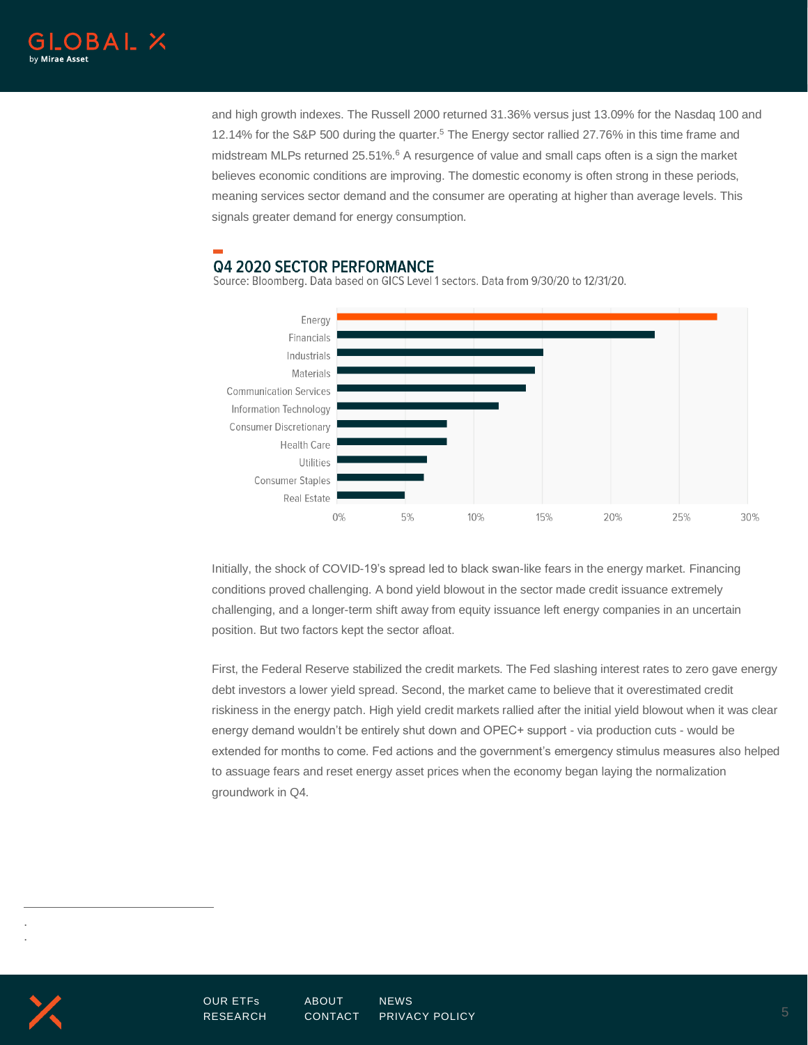

and high growth indexes. The Russell 2000 returned 31.36% versus just 13.09% for the Nasdaq 100 and 12.14% for the S&P 500 during the quarter. <sup>5</sup> The Energy sector rallied 27.76% in this time frame and midstream MLPs returned 25.51%.<sup>6</sup> A resurgence of value and small caps often is a sign the market believes economic conditions are improving. The domestic economy is often strong in these periods, meaning services sector demand and the consumer are operating at higher than average levels. This signals greater demand for energy consumption.

# **Q4 2020 SECTOR PERFORMANCE**

Source: Bloomberg. Data based on GICS Level 1 sectors. Data from 9/30/20 to 12/31/20.



Initially, the shock of COVID-19's spread led to black swan-like fears in the energy market. Financing conditions proved challenging. A bond yield blowout in the sector made credit issuance extremely challenging, and a longer-term shift away from equity issuance left energy companies in an uncertain position. But two factors kept the sector afloat.

First, the Federal Reserve stabilized the credit markets. The Fed slashing interest rates to zero gave energy debt investors a lower yield spread. Second, the market came to believe that it overestimated credit riskiness in the energy patch. High yield credit markets rallied after the initial yield blowout when it was clear energy demand wouldn't be entirely shut down and OPEC+ support - via production cuts - would be extended for months to come. Fed actions and the government's emergency stimulus measures also helped to assuage fears and reset energy asset prices when the economy began laying the normalization groundwork in Q4.

. .

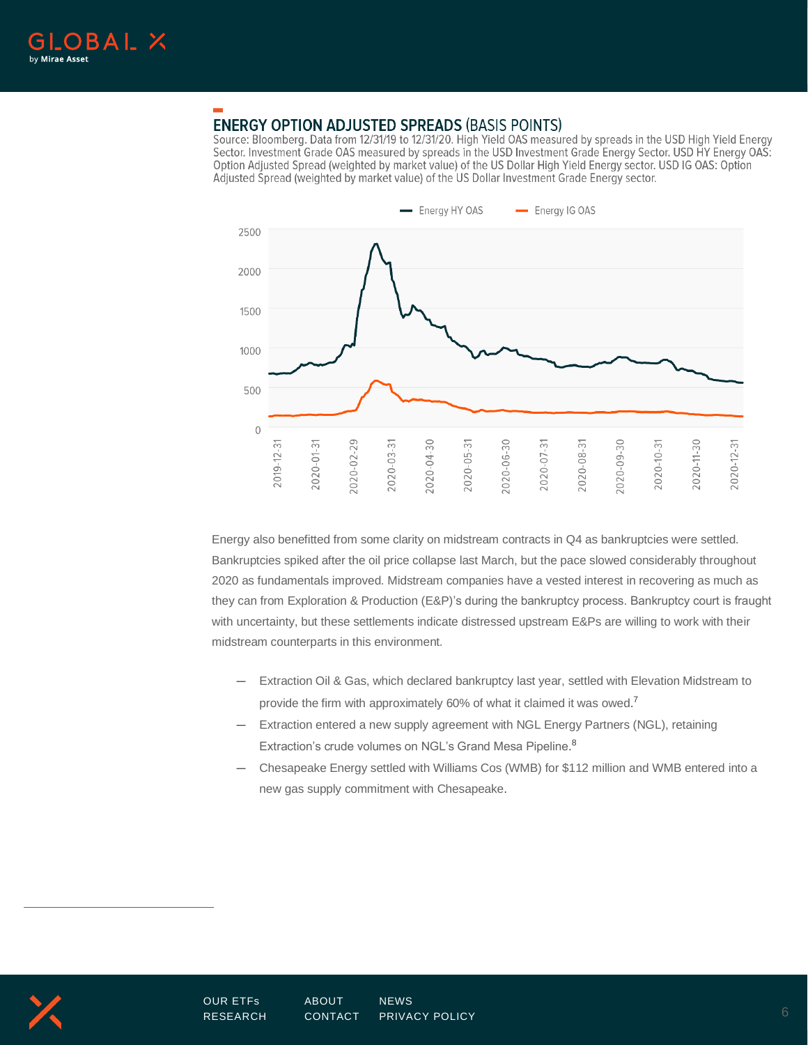

# **ENERGY OPTION ADJUSTED SPREADS (BASIS POINTS)**

Source: Bloomberg. Data from 12/31/19 to 12/31/20. High Yield OAS measured by spreads in the USD High Yield Energy Sector. Investment Grade OAS measured by spreads in the USD Investment Grade Energy Sector. USD HY Energy OAS: Option Adjusted Spread (weighted by market value) of the US Dollar High Yield Energy sector. USD IG OAS: Option Adjusted Spread (weighted by market value) of the US Dollar Investment Grade Energy sector.



Energy also benefitted from some clarity on midstream contracts in Q4 as bankruptcies were settled. Bankruptcies spiked after the oil price collapse last March, but the pace slowed considerably throughout 2020 as fundamentals improved. Midstream companies have a vested interest in recovering as much as they can from Exploration & Production (E&P)'s during the bankruptcy process. Bankruptcy court is fraught with uncertainty, but these settlements indicate distressed upstream E&Ps are willing to work with their midstream counterparts in this environment.

- Extraction Oil & Gas, which declared bankruptcy last year, settled with Elevation Midstream to provide the firm with approximately 60% of what it claimed it was owed.<sup>7</sup>
- Extraction entered a new supply agreement with NGL Energy Partners (NGL), retaining Extraction's crude volumes on NGL's Grand Mesa Pipeline.<sup>8</sup>
- Chesapeake Energy settled with Williams Cos (WMB) for \$112 million and WMB entered into a new gas supply commitment with Chesapeake.

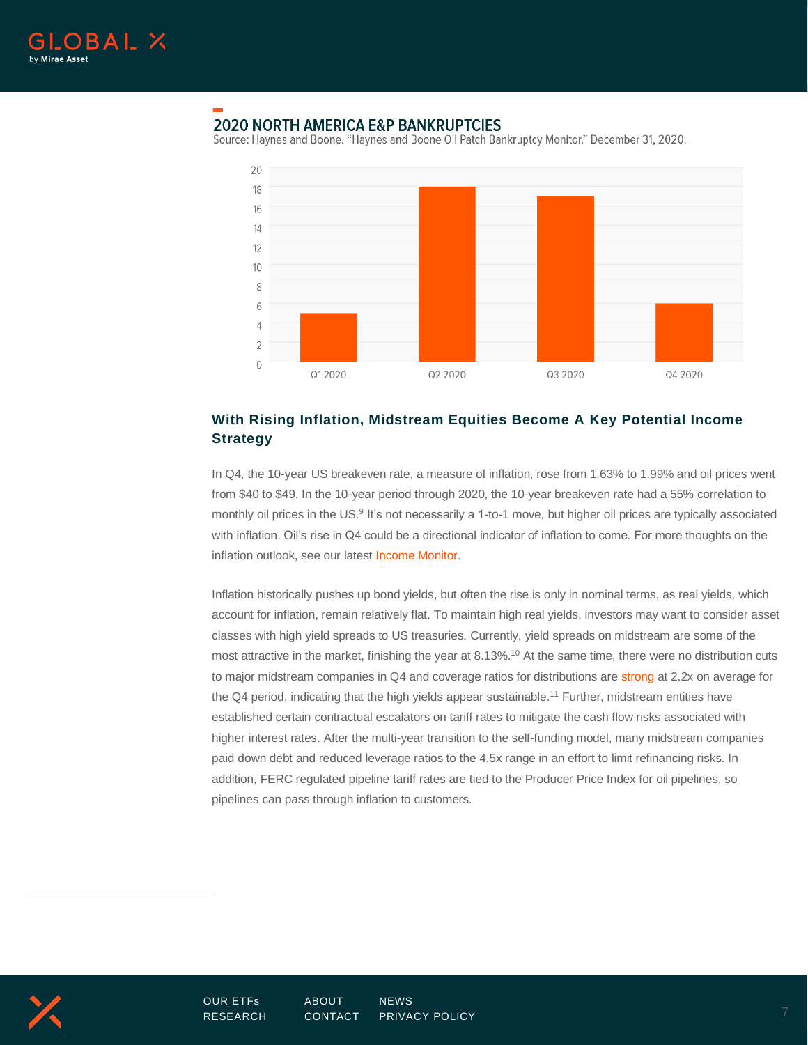

# **2020 NORTH AMERICA E&P BANKRUPTCIES**

Source: Haynes and Boone. "Haynes and Boone Oil Patch Bankruptcy Monitor." December 31, 2020.



### **With Rising Inflation, Midstream Equities Become A Key Potential Income Strategy**

In Q4, the 10-year US breakeven rate, a measure of inflation, rose from 1.63% to 1.99% and oil prices went from \$40 to \$49. In the 10-year period through 2020, the 10-year breakeven rate had a 55% correlation to monthly oil prices in the US.<sup>9</sup> It's not necessarily a 1-to-1 move, but higher oil prices are typically associated with inflation. Oil's rise in Q4 could be a directional indicator of inflation to come. For more thoughts on the inflation outlook, see our lates[t Income Monitor.](https://www.globalxetfs.com/income-monitor-q4-2020-time-to-prepare-for-inflation/)

Inflation historically pushes up bond yields, but often the rise is only in nominal terms, as real yields, which account for inflation, remain relatively flat. To maintain high real yields, investors may want to consider asset classes with high yield spreads to US treasuries. Currently, yield spreads on midstream are some of the most attractive in the market, finishing the year at 8.13%.<sup>10</sup> At the same time, there were no distribution cuts to major midstream companies in Q4 and coverage ratios for distributions ar[e strong](https://www.globalxetfs.com/mlp-insights-q3-2020/) at 2.2x on average for the Q4 period, indicating that the high yields appear sustainable.<sup>11</sup> Further, midstream entities have established certain contractual escalators on tariff rates to mitigate the cash flow risks associated with higher interest rates. After the multi-year transition to the self-funding model, many midstream companies paid down debt and reduced leverage ratios to the 4.5x range in an effort to limit refinancing risks. In addition, FERC regulated pipeline tariff rates are tied to the Producer Price Index for oil pipelines, so pipelines can pass through inflation to customers.



[OUR ETFs](https://www.globalxetfs.com/) [ABOUT](https://www.globalxetfs.com/about/) [NEWS](https://www.globalxetfs.com/news/) [RESEARCH](https://www.globalxetfs.com/research/) [CONTACT](https://www.globalxetfs.com/contact/) [PRIVACY POLICY](https://www.globalxetfs.com/privacy/) 7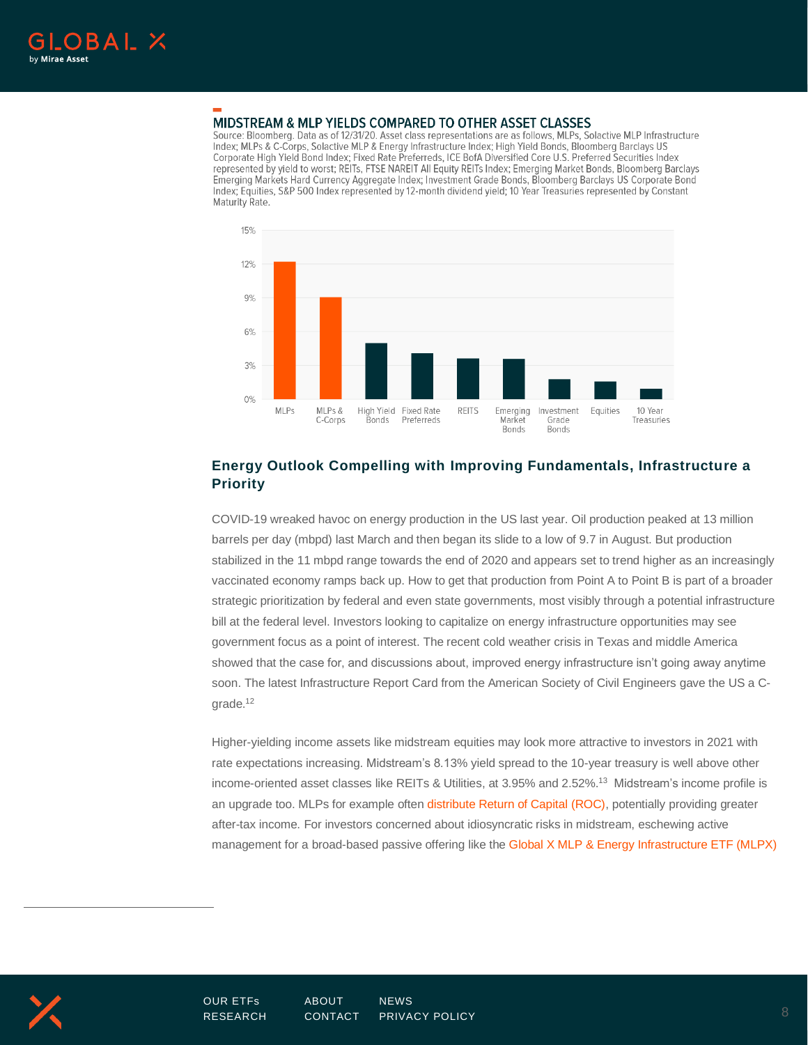

#### MIDSTREAM & MLP YIELDS COMPARED TO OTHER ASSET CLASSES

Source: Bloomberg. Data as of 12/31/20. Asset class representations are as follows, MLPs, Solactive MLP Infrastructure Index; MLPs & C-Corps, Solactive MLP & Energy Infrastructure Index; High Yield Bonds, Bloomberg Barclays US Corporate High Yield Bond Index: Fixed Rate Preferreds, ICE BofA Diversified Core U.S. Preferred Securities Index represented by yield to worst; REITs, FTSE NAREIT All Equity REITs Index; Emerging Market Bonds, Bloomberg Barclays Emerging Markets Hard Currency Aggregate Index; Investment Grade Bonds, Bloomberg Barclays US Corporate Bond Index; Equities, S&P 500 Index represented by 12-month dividend yield; 10 Year Treasuries represented by Constant Maturity Rate.



## **Energy Outlook Compelling with Improving Fundamentals, Infrastructure a Priority**

COVID-19 wreaked havoc on energy production in the US last year. Oil production peaked at 13 million barrels per day (mbpd) last March and then began its slide to a low of 9.7 in August. But production stabilized in the 11 mbpd range towards the end of 2020 and appears set to trend higher as an increasingly vaccinated economy ramps back up. How to get that production from Point A to Point B is part of a broader strategic prioritization by federal and even state governments, most visibly through a potential infrastructure bill at the federal level. Investors looking to capitalize on energy infrastructure opportunities may see government focus as a point of interest. The recent cold weather crisis in Texas and middle America showed that the case for, and discussions about, improved energy infrastructure isn't going away anytime soon. The latest Infrastructure Report Card from the American Society of Civil Engineers gave the US a Cgrade.<sup>12</sup>

Higher-yielding income assets like midstream equities may look more attractive to investors in 2021 with rate expectations increasing. Midstream's 8.13% yield spread to the 10-year treasury is well above other income-oriented asset classes like REITs & Utilities, at 3.95% and 2.52%. <sup>13</sup> Midstream's income profile is an upgrade too. MLPs for example often [distribute Return of Capital \(ROC\),](https://www.globalxetfs.com/content/files/MLP-Tax-Primer-2018.pdf) potentially providing greater after-tax income. For investors concerned about idiosyncratic risks in midstream, eschewing active management for a broad-based passive offering like th[e Global X MLP & Energy Infrastructure ETF \(MLPX\)](https://www.globalxetfs.com/funds/mlpx/)

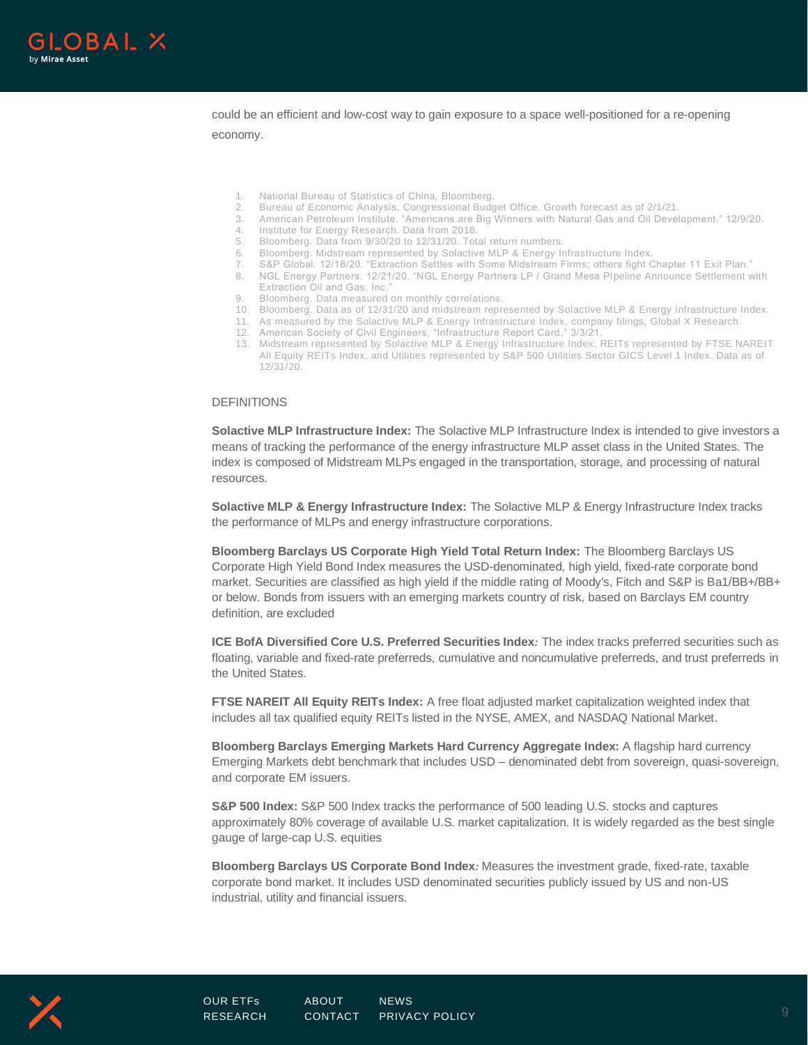

could be an efficient and low-cost way to gain exposure to a space well-positioned for a re-opening

economy.

- National Bureau of Statistics of China, Bloomberg.
- 2. Bureau of Economic Analysis, Congressional Budget Office. Growth forecast as of 2/1/21.
- 3. American Petroleum Institute. "Americans are Big Winners with Natural Gas and Oil Development." 12/9/20.
- Institute for Energy Research. Data from 2018.
- 5. Bloomberg. Data from 9/30/20 to 12/31/20. Total return numbers.
- 6. Bloomberg. Midstream represented by Solactive MLP & Energy Infrastructure Index.
- 7. S&P Global. 12/18/20. "Extraction Settles with Some Midstream Firms; others fight Chapter 11 Exit Plan."
- 8. NGL Energy Partners. 12/21/20. "NGL Energy Partners LP / Grand Mesa Pipeline Announce Settlement with Extraction Oil and Gas, Inc."
- Bloomberg. Data measured on monthly correlations.
- 10. Bloomberg. Data as of 12/31/20 and midstream represented by Solactive MLP & Energy Infrastructure Index.
- 11. As measured by the Solactive MLP & Energy Infrastructure Index, company filings, Global X Research.
- 12. American Society of Civil Engineers, "Infrastructure Report Card," 3/3/21.
- 13. Midstream represented by Solactive MLP & Energy Infrastructure Index, REITs represented by FTSE NAREIT All Equity REITs Index, and Utilities represented by S&P 500 Utilities Sector GICS Level 1 Index. Data as of 12/31/20.

#### DEFINITIONS

**Solactive MLP Infrastructure Index:** The Solactive MLP Infrastructure Index is intended to give investors a means of tracking the performance of the energy infrastructure MLP asset class in the United States. The index is composed of Midstream MLPs engaged in the transportation, storage, and processing of natural resources.

**Solactive MLP & Energy Infrastructure Index:** The Solactive MLP & Energy Infrastructure Index tracks the performance of MLPs and energy infrastructure corporations.

**Bloomberg Barclays US Corporate High Yield Total Return Index:** The Bloomberg Barclays US Corporate High Yield Bond Index measures the USD-denominated, high yield, fixed-rate corporate bond market. Securities are classified as high yield if the middle rating of Moody's, Fitch and S&P is Ba1/BB+/BB+ or below. Bonds from issuers with an emerging markets country of risk, based on Barclays EM country definition, are excluded

**ICE BofA Diversified Core U.S. Preferred Securities Index***:* The index tracks preferred securities such as floating, variable and fixed-rate preferreds, cumulative and noncumulative preferreds, and trust preferreds in the United States.

**FTSE NAREIT All Equity REITs Index:** A free float adjusted market capitalization weighted index that includes all tax qualified equity REITs listed in the NYSE, AMEX, and NASDAQ National Market.

**Bloomberg Barclays Emerging Markets Hard Currency Aggregate Index:** A flagship hard currency Emerging Markets debt benchmark that includes USD – denominated debt from sovereign, quasi-sovereign, and corporate EM issuers.

**S&P 500 Index:** S&P 500 Index tracks the performance of 500 leading U.S. stocks and captures approximately 80% coverage of available U.S. market capitalization. It is widely regarded as the best single gauge of large-cap U.S. equities

**Bloomberg Barclays US Corporate Bond Index***:* Measures the investment grade, fixed-rate, taxable corporate bond market. It includes USD denominated securities publicly issued by US and non-US industrial, utility and financial issuers.